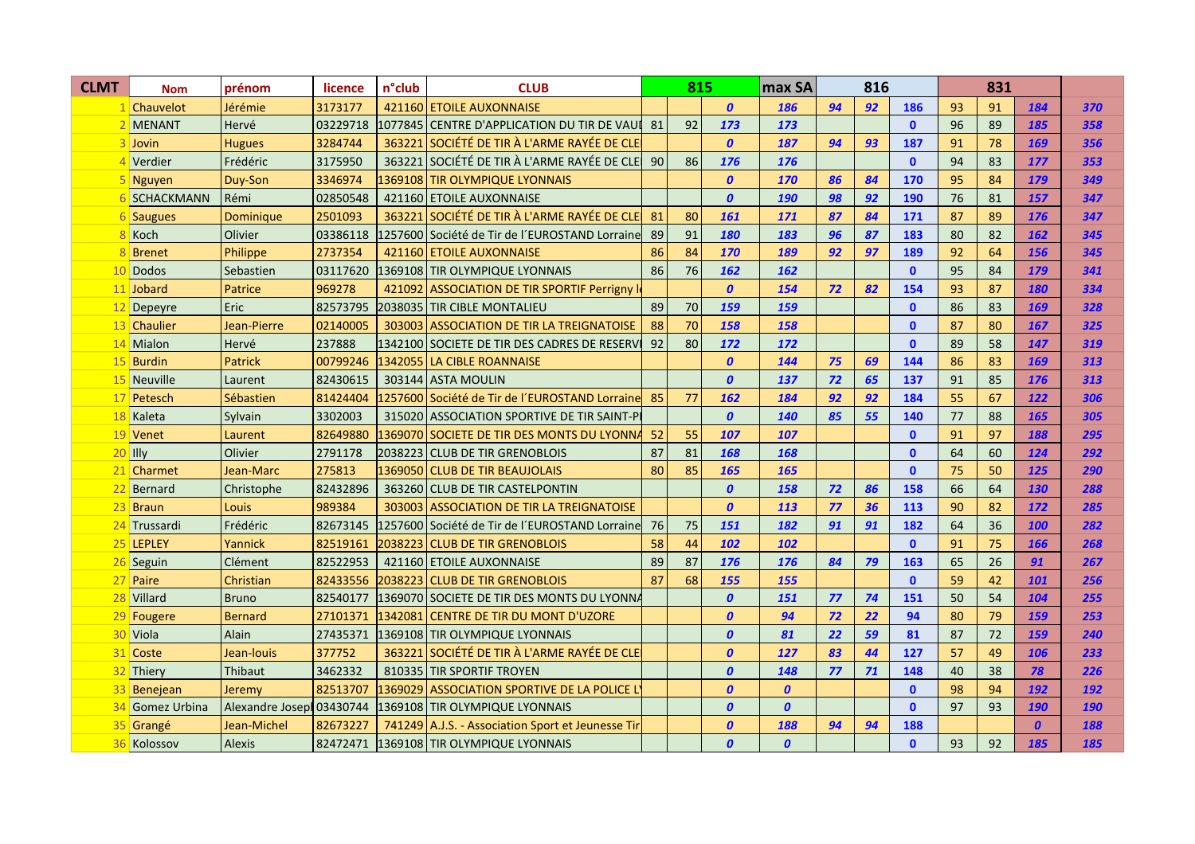| <b>CLMT</b> | <b>Nom</b>        | prénom                   | licence  | n°club | <b>CLUB</b>                                        |    | 815 |                  | max SA           | 816 |    |              |    |    |                  |            |
|-------------|-------------------|--------------------------|----------|--------|----------------------------------------------------|----|-----|------------------|------------------|-----|----|--------------|----|----|------------------|------------|
|             | Chauvelot         | Jérémie                  | 3173177  |        | 421160 ETOILE AUXONNAISE                           |    |     | $\boldsymbol{0}$ | 186              | 94  | 92 | 186          | 93 | 91 | 184              | 370        |
|             | <b>MENANT</b>     | Hervé                    | 03229718 |        | 1077845 CENTRE D'APPLICATION DU TIR DE VAUI 81     |    | 92  | 173              | 173              |     |    | $\mathbf{0}$ | 96 | 89 | 185              | 358        |
|             | Jovin             | <b>Hugues</b>            | 3284744  |        | 363221 SOCIÉTÉ DE TIR À L'ARME RAYÉE DE CLE        |    |     | $\boldsymbol{0}$ | 187              | 94  | 93 | 187          | 91 | 78 | 169              | 356        |
|             | Verdier           | Frédéric                 | 3175950  |        | 363221 SOCIÉTÉ DE TIR À L'ARME RAYÉE DE CLE        | 90 | 86  | 176              | 176              |     |    | $\mathbf{0}$ | 94 | 83 | 177              | 353        |
|             | <b>Nguyen</b>     | Duy-Son                  | 3346974  |        | 1369108 TIR OLYMPIQUE LYONNAIS                     |    |     | $\boldsymbol{0}$ | 170              | 86  | 84 | 170          | 95 | 84 | 179              | 349        |
|             | <b>SCHACKMANN</b> | Rémi                     | 02850548 |        | 421160 ETOILE AUXONNAISE                           |    |     | $\boldsymbol{0}$ | 190              | 98  | 92 | 190          | 76 | 81 | 157              | 347        |
|             | <b>Saugues</b>    | <b>Dominique</b>         | 2501093  |        | 363221 SOCIÉTÉ DE TIR À L'ARME RAYÉE DE CLE        | 81 | 80  | 161              | 171              | 87  | 84 | 171          | 87 | 89 | 176              | 347        |
|             | Koch              | Olivier                  | 03386118 |        | l1257600 Société de Tir de l'EUROSTAND Lorraine    | 89 | 91  | 180              | 183              | 96  | 87 | 183          | 80 | 82 | 162              | 345        |
|             | <b>Brenet</b>     | Philippe                 | 2737354  |        | 421160 ETOILE AUXONNAISE                           | 86 | 84  | 170              | 189              | 92  | 97 | 189          | 92 | 64 | 156              | 345        |
| 10          | Dodos             | Sebastien                | 03117620 |        | 1369108 TIR OLYMPIQUE LYONNAIS                     | 86 | 76  | 162              | 162              |     |    | $\mathbf{0}$ | 95 | 84 | 179              | 341        |
|             | 11 Jobard         | Patrice                  | 969278   |        | 421092 ASSOCIATION DE TIR SPORTIF Perrigny I       |    |     | $\boldsymbol{0}$ | 154              | 72  | 82 | 154          | 93 | 87 | 180              | 334        |
| 12          | Depeyre           | Eric                     | 82573795 |        | 2038035 TIR CIBLE MONTALIEU                        | 89 | 70  | 159              | 159              |     |    | $\mathbf{0}$ | 86 | 83 | 169              | 328        |
| 13          | Chaulier          | Jean-Pierre              | 02140005 |        | 303003 ASSOCIATION DE TIR LA TREIGNATOISE          | 88 | 70  | 158              | 158              |     |    | $\mathbf{0}$ | 87 | 80 | 167              | 325        |
| 14          | Mialon            | Hervé                    | 237888   |        | 1342100 SOCIETE DE TIR DES CADRES DE RESERV        | 92 | 80  | 172              | 172              |     |    | $\mathbf{0}$ | 89 | 58 | 147              | 319        |
| 15          | <b>Burdin</b>     | <b>Patrick</b>           | 00799246 |        | 1342055 LA CIBLE ROANNAISE                         |    |     | $\boldsymbol{0}$ | 144              | 75  | 69 | 144          | 86 | 83 | 169              | 313        |
| 15          | <b>Neuville</b>   | Laurent                  | 82430615 |        | 303144 ASTA MOULIN                                 |    |     | $\boldsymbol{0}$ | 137              | 72  | 65 | 137          | 91 | 85 | 176              | 313        |
| 17          | Petesch           | Sébastien                | 81424404 |        | 1257600 Société de Tir de l'EUROSTAND Lorraine     | 85 | 77  | 162              | 184              | 92  | 92 | 184          | 55 | 67 | 122              | 306        |
| 18          | Kaleta            | Sylvain                  | 3302003  |        | 315020 ASSOCIATION SPORTIVE DE TIR SAINT-PI        |    |     | $\boldsymbol{0}$ | 140              | 85  | 55 | 140          | 77 | 88 | 165              | 305        |
| 19          | Venet             | Laurent                  | 82649880 |        | 1369070 SOCIETE DE TIR DES MONTS DU LYONNA         | 52 | 55  | 107              | 107              |     |    | $\mathbf{0}$ | 91 | 97 | 188              | 295        |
|             | $20$ Illy         | Olivier                  | 2791178  |        | 2038223 CLUB DE TIR GRENOBLOIS                     | 87 | 81  | 168              | 168              |     |    | $\mathbf{0}$ | 64 | 60 | 124              | 292        |
|             | 21 Charmet        | Jean-Marc                | 275813   |        | 1369050 CLUB DE TIR BEAUJOLAIS                     | 80 | 85  | 165              | 165              |     |    | $\mathbf{0}$ | 75 | 50 | 125              | 290        |
|             | Bernard           | Christophe               | 82432896 |        | 363260 CLUB DE TIR CASTELPONTIN                    |    |     | $\boldsymbol{0}$ | 158              | 72  | 86 | 158          | 66 | 64 | 130              | 288        |
| 23          | <b>Braun</b>      | Louis                    | 989384   |        | 303003 ASSOCIATION DE TIR LA TREIGNATOISE          |    |     | $\boldsymbol{0}$ | 113              | 77  | 36 | 113          | 90 | 82 | 172              | 285        |
|             | 24 Trussardi      | Frédéric                 | 82673145 |        | l1257600   Société de Tir de l'EUROSTAND Lorrainel | 76 | 75  | <b>151</b>       | 182              | 91  | 91 | 182          | 64 | 36 | 100              | 282        |
|             | 25 LEPLEY         | Yannick                  | 82519161 |        | 2038223 CLUB DE TIR GRENOBLOIS                     | 58 | 44  | 102              | 102              |     |    | $\mathbf{0}$ | 91 | 75 | 166              | 268        |
|             | 26 Seguin         | Clément                  | 82522953 |        | 421160 ETOILE AUXONNAISE                           | 89 | 87  | <b>176</b>       | 176              | 84  | 79 | 163          | 65 | 26 | 91               | 267        |
|             | 27 Paire          | Christian                | 82433556 |        | 2038223 CLUB DE TIR GRENOBLOIS                     | 87 | 68  | 155              | 155              |     |    | $\mathbf{0}$ | 59 | 42 | 101              | 256        |
|             | 28 Villard        | <b>Bruno</b>             | 82540177 |        | 1369070 SOCIETE DE TIR DES MONTS DU LYONNA         |    |     | $\boldsymbol{0}$ | 151              | 77  | 74 | 151          | 50 | 54 | 104              | 255        |
|             | 29 Fougere        | <b>Bernard</b>           | 27101371 |        | 1342081 CENTRE DE TIR DU MONT D'UZORE              |    |     | $\boldsymbol{0}$ | 94               | 72  | 22 | 94           | 80 | 79 | 159              | 253        |
|             | 30 Viola          | Alain                    | 27435371 |        | 1369108 TIR OLYMPIQUE LYONNAIS                     |    |     | $\boldsymbol{0}$ | 81               | 22  | 59 | 81           | 87 | 72 | 159              | 240        |
|             | 31 Coste          | Jean-louis               | 377752   |        | 363221 SOCIÉTÉ DE TIR À L'ARME RAYÉE DE CLE        |    |     | $\boldsymbol{0}$ | 127              | 83  | 44 | 127          | 57 | 49 | 106              | 233        |
|             | 32 Thiery         | Thibaut                  | 3462332  |        | 810335 TIR SPORTIF TROYEN                          |    |     | $\boldsymbol{0}$ | 148              | 77  | 71 | 148          | 40 | 38 | 78               | 226        |
|             | 33 Benejean       | Jeremy                   | 82513707 |        | 1369029 ASSOCIATION SPORTIVE DE LA POLICE L        |    |     | $\boldsymbol{0}$ | $\boldsymbol{0}$ |     |    | $\mathbf{0}$ | 98 | 94 | 192              | 192        |
|             | Gomez Urbina      | Alexandre Josep 03430744 |          |        | 1369108 TIR OLYMPIQUE LYONNAIS                     |    |     | $\boldsymbol{0}$ | $\boldsymbol{0}$ |     |    | $\mathbf{0}$ | 97 | 93 | 190              | <b>190</b> |
|             | 35 Grangé         | Jean-Michel              | 82673227 |        | 741249 A.J.S. - Association Sport et Jeunesse Tir  |    |     | $\boldsymbol{0}$ | 188              | 94  | 94 | 188          |    |    | $\boldsymbol{0}$ | 188        |
|             | 36 Kolossov       | Alexis                   | 82472471 |        | 1369108 TIR OLYMPIQUE LYONNAIS                     |    |     | $\boldsymbol{0}$ | $\boldsymbol{0}$ |     |    | $\mathbf{0}$ | 93 | 92 | 185              | 185        |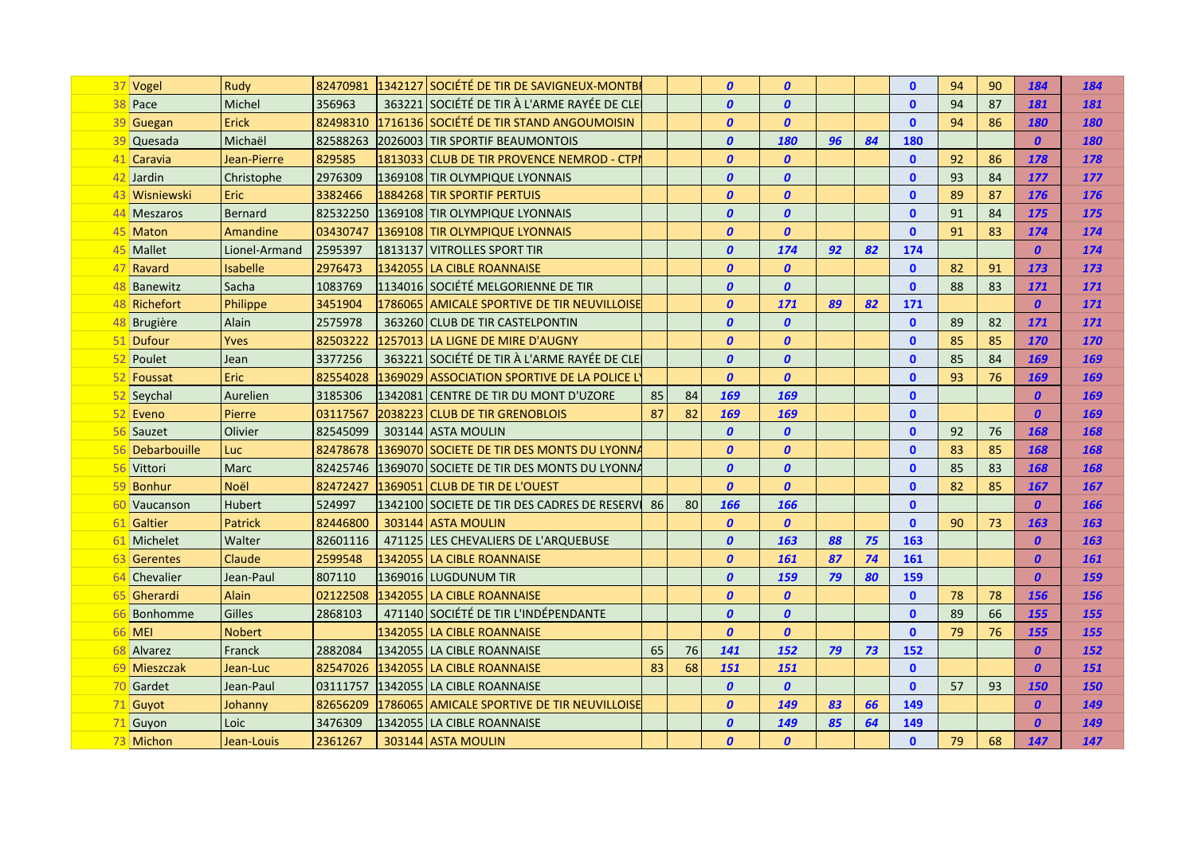|    | 37 Vogel        | Rudy           | 82470981 | 1342127 SOCIÉTÉ DE TIR DE SAVIGNEUX-MONTBI      |    |    | $\boldsymbol{0}$ | $\boldsymbol{0}$ |    |    | $\mathbf{0}$ | 94 | 90 | 184              | 184        |
|----|-----------------|----------------|----------|-------------------------------------------------|----|----|------------------|------------------|----|----|--------------|----|----|------------------|------------|
|    | 38 Pace         | Michel         | 356963   | 363221 SOCIÉTÉ DE TIR À L'ARME RAYÉE DE CLE     |    |    | $\boldsymbol{0}$ | $\boldsymbol{0}$ |    |    | $\mathbf{0}$ | 94 | 87 | 181              | 181        |
|    | 39 Guegan       | <b>Erick</b>   | 82498310 | 1716136 SOCIÉTÉ DE TIR STAND ANGOUMOISIN        |    |    | $\boldsymbol{0}$ | $\boldsymbol{0}$ |    |    | $\mathbf{0}$ | 94 | 86 | <b>180</b>       | 180        |
|    | 39 Quesada      | Michaël        | 82588263 | 2026003 TIR SPORTIF BEAUMONTOIS                 |    |    | $\boldsymbol{0}$ | 180              | 96 | 84 | <b>180</b>   |    |    | $\boldsymbol{0}$ | 180        |
|    | 41 Caravia      | Jean-Pierre    | 829585   | 1813033 CLUB DE TIR PROVENCE NEMROD - CTPI      |    |    | $\boldsymbol{0}$ | $\boldsymbol{0}$ |    |    | $\mathbf{0}$ | 92 | 86 | 178              | 178        |
|    | 42 Jardin       | Christophe     | 2976309  | 1369108 TIR OLYMPIQUE LYONNAIS                  |    |    | 0                | $\boldsymbol{0}$ |    |    | $\mathbf{0}$ | 93 | 84 | <b>177</b>       | 177        |
|    | 43 Wisniewski   | Eric           | 3382466  | 1884268 TIR SPORTIF PERTUIS                     |    |    | $\boldsymbol{0}$ | $\boldsymbol{0}$ |    |    | $\mathbf{0}$ | 89 | 87 | <b>176</b>       | 176        |
|    | 44 Meszaros     | <b>Bernard</b> | 82532250 | 1369108 TIR OLYMPIQUE LYONNAIS                  |    |    | 0                | $\boldsymbol{0}$ |    |    | $\mathbf{0}$ | 91 | 84 | <b>175</b>       | 175        |
|    | 45 Maton        | Amandine       | 03430747 | 1369108 TIR OLYMPIQUE LYONNAIS                  |    |    | $\boldsymbol{0}$ | $\boldsymbol{0}$ |    |    | $\mathbf{0}$ | 91 | 83 | 174              | 174        |
|    | 45 Mallet       | Lionel-Armand  | 2595397  | 1813137   VITROLLES SPORT TIR                   |    |    | $\boldsymbol{0}$ | 174              | 92 | 82 | 174          |    |    | $\boldsymbol{0}$ | 174        |
|    | 47 Ravard       | Isabelle       | 2976473  | 1342055 LA CIBLE ROANNAISE                      |    |    | $\boldsymbol{0}$ | $\boldsymbol{0}$ |    |    | $\mathbf{0}$ | 82 | 91 | 173              | 173        |
|    | 48 Banewitz     | Sacha          | 1083769  | l1134016 SOCIÉTÉ MELGORIENNE DE TIR             |    |    | $\boldsymbol{0}$ | $\boldsymbol{0}$ |    |    | $\mathbf{0}$ | 88 | 83 | 171              | 171        |
|    | 48 Richefort    | Philippe       | 3451904  | 1786065 AMICALE SPORTIVE DE TIR NEUVILLOISE     |    |    | $\boldsymbol{0}$ | <b>171</b>       | 89 | 82 | 171          |    |    | $\boldsymbol{0}$ | 171        |
|    | 48 Brugière     | Alain          | 2575978  | 363260 CLUB DE TIR CASTELPONTIN                 |    |    | 0                | $\boldsymbol{0}$ |    |    | $\mathbf{0}$ | 89 | 82 | 171              | 171        |
|    | 51 Dufour       | Yves           | 82503222 | 1257013 LA LIGNE DE MIRE D'AUGNY                |    |    | 0                | $\boldsymbol{0}$ |    |    | $\mathbf{0}$ | 85 | 85 | <b>170</b>       | 170        |
|    | 52 Poulet       | Jean           | 3377256  | 363221 SOCIÉTÉ DE TIR À L'ARME RAYÉE DE CLE     |    |    | $\boldsymbol{0}$ | $\boldsymbol{0}$ |    |    | $\mathbf{0}$ | 85 | 84 | 169              | 169        |
|    | 52 Foussat      | Eric           | 82554028 | 1369029 ASSOCIATION SPORTIVE DE LA POLICE L     |    |    | $\boldsymbol{0}$ | $\boldsymbol{0}$ |    |    | $\mathbf{0}$ | 93 | 76 | 169              | 169        |
|    | 52 Seychal      | Aurelien       | 3185306  | 1342081 CENTRE DE TIR DU MONT D'UZORE           | 85 | 84 | 169              | 169              |    |    | $\mathbf{0}$ |    |    | $\boldsymbol{0}$ | 169        |
|    | 52 Eveno        | Pierre         | 03117567 | 2038223 CLUB DE TIR GRENOBLOIS                  | 87 | 82 | 169              | 169              |    |    | $\mathbf{0}$ |    |    | $\boldsymbol{0}$ | 169        |
|    | Sauzet          | Olivier        | 82545099 | 303144 ASTA MOULIN                              |    |    | $\boldsymbol{0}$ | $\boldsymbol{0}$ |    |    | $\mathbf{0}$ | 92 | 76 | 168              | 168        |
|    | 56 Debarbouille | Luc            | 82478678 | 1369070 SOCIETE DE TIR DES MONTS DU LYONNA      |    |    | $\boldsymbol{0}$ | $\boldsymbol{0}$ |    |    | $\mathbf{0}$ | 83 | 85 | 168              | 168        |
|    | 56 Vittori      | Marc           | 82425746 | 1369070 SOCIETE DE TIR DES MONTS DU LYONNA      |    |    | 0                | $\boldsymbol{0}$ |    |    | $\mathbf{0}$ | 85 | 83 | 168              | 168        |
| 59 | Bonhur          | Noël           | 82472427 | 1369051 CLUB DE TIR DE L'OUEST                  |    |    | $\boldsymbol{0}$ | $\boldsymbol{0}$ |    |    | $\mathbf{0}$ | 82 | 85 | 167              | 167        |
|    | Vaucanson       | <b>Hubert</b>  | 524997   | 1342100 SOCIETE DE TIR DES CADRES DE RESERVI 86 |    | 80 | <b>166</b>       | 166              |    |    | $\mathbf{0}$ |    |    | $\boldsymbol{0}$ | 166        |
|    | 61 Galtier      | Patrick        | 82446800 | 303144 ASTA MOULIN                              |    |    | $\boldsymbol{0}$ | $\boldsymbol{0}$ |    |    | $\mathbf{0}$ | 90 | 73 | 163              | 163        |
|    | 61 Michelet     | Walter         | 82601116 | 471125 LES CHEVALIERS DE L'ARQUEBUSE            |    |    | $\boldsymbol{0}$ | 163              | 88 | 75 | 163          |    |    | $\boldsymbol{0}$ | 163        |
|    | 63 Gerentes     | Claude         | 2599548  | 1342055 LA CIBLE ROANNAISE                      |    |    | $\boldsymbol{0}$ | 161              | 87 | 74 | 161          |    |    | $\boldsymbol{0}$ | 161        |
|    | 64 Chevalier    | Jean-Paul      | 807110   | 1369016 LUGDUNUM TIR                            |    |    | $\boldsymbol{0}$ | 159              | 79 | 80 | <b>159</b>   |    |    | $\boldsymbol{0}$ | 159        |
|    | 65 Gherardi     | Alain          | 02122508 | 1342055 LA CIBLE ROANNAISE                      |    |    | $\boldsymbol{0}$ | $\boldsymbol{0}$ |    |    | $\mathbf{0}$ | 78 | 78 | 156              | 156        |
|    | 66 Bonhomme     | Gilles         | 2868103  | 471140 SOCIÉTÉ DE TIR L'INDÉPENDANTE            |    |    | $\boldsymbol{0}$ | $\boldsymbol{0}$ |    |    | $\mathbf{0}$ | 89 | 66 | 155              | 155        |
|    | <b>66 MEI</b>   | Nobert         |          | 1342055 LA CIBLE ROANNAISE                      |    |    | $\boldsymbol{0}$ | $\boldsymbol{0}$ |    |    | $\mathbf{0}$ | 79 | 76 | 155              | 155        |
|    | 68 Alvarez      | Franck         | 2882084  | 1342055 LA CIBLE ROANNAISE                      | 65 | 76 | 141              | 152              | 79 | 73 | 152          |    |    | $\boldsymbol{0}$ | 152        |
|    | 69 Mieszczak    | Jean-Luc       | 82547026 | 1342055 LA CIBLE ROANNAISE                      | 83 | 68 | <b>151</b>       | 151              |    |    | $\mathbf{0}$ |    |    | $\boldsymbol{0}$ | 151        |
|    | 70 Gardet       | Jean-Paul      | 03111757 | l1342055 lLA CIBLE ROANNAISE                    |    |    | $\boldsymbol{0}$ | $\boldsymbol{0}$ |    |    | $\mathbf{0}$ | 57 | 93 | <b>150</b>       | <b>150</b> |
|    | 71 Guyot        | Johanny        | 82656209 | 1786065 AMICALE SPORTIVE DE TIR NEUVILLOISE     |    |    | $\boldsymbol{0}$ | 149              | 83 | 66 | 149          |    |    | $\boldsymbol{0}$ | 149        |
|    | 71 Guyon        | Loic           | 3476309  | 1342055 LA CIBLE ROANNAISE                      |    |    | $\boldsymbol{0}$ | 149              | 85 | 64 | 149          |    |    | $\boldsymbol{0}$ | 149        |
|    | 73 Michon       | Jean-Louis     | 2361267  | 303144 ASTA MOULIN                              |    |    | $\boldsymbol{0}$ | $\boldsymbol{0}$ |    |    | $\mathbf{0}$ | 79 | 68 | 147              | 147        |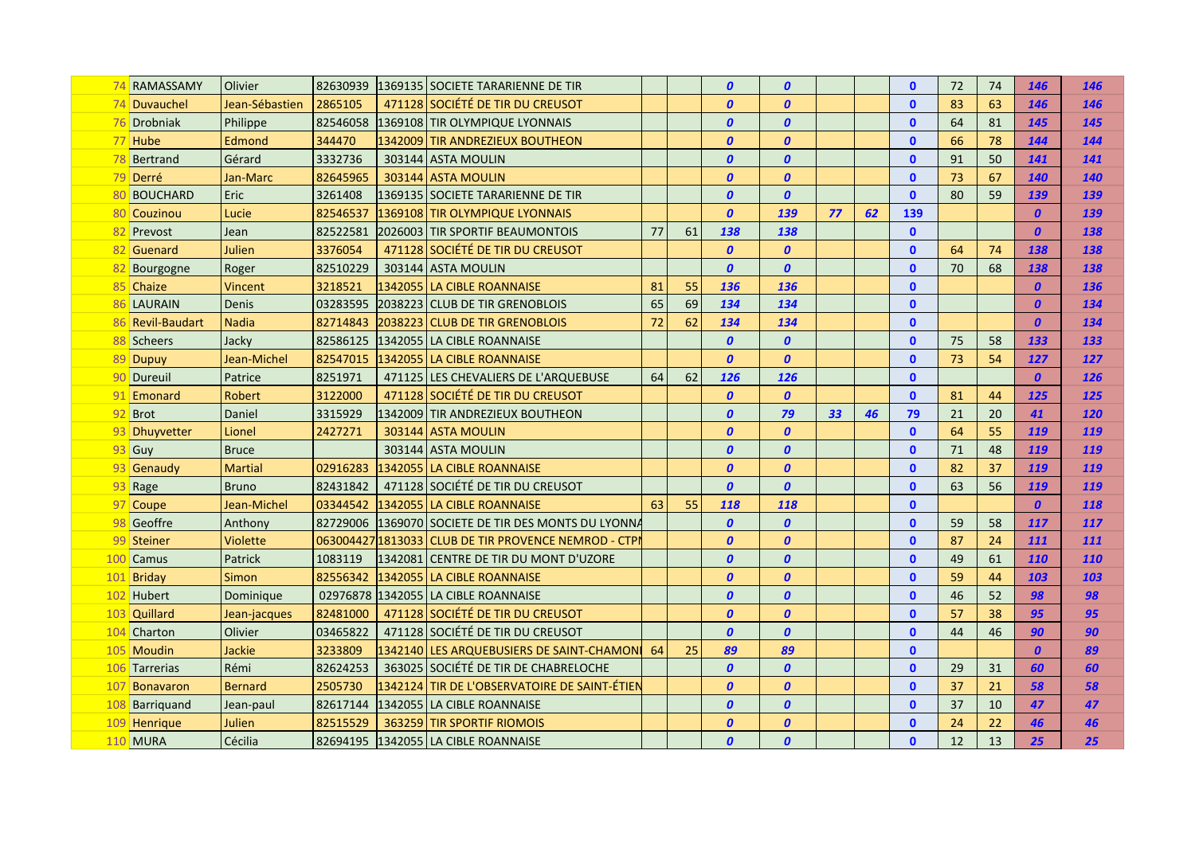|    | 74 RAMASSAMY     | Olivier         | 82630939 | 1369135 SOCIETE TARARIENNE DE TIR                    |    |    | $\boldsymbol{0}$ | $\boldsymbol{0}$ |    |    | $\mathbf{0}$ | 72 | 74 | 146              | 146        |
|----|------------------|-----------------|----------|------------------------------------------------------|----|----|------------------|------------------|----|----|--------------|----|----|------------------|------------|
|    | 74 Duvauchel     | Jean-Sébastien  | 2865105  | 471128 SOCIÉTÉ DE TIR DU CREUSOT                     |    |    | $\boldsymbol{0}$ | $\boldsymbol{0}$ |    |    | $\mathbf{0}$ | 83 | 63 | 146              | 146        |
|    | 76 Drobniak      | Philippe        | 82546058 | 1369108 TIR OLYMPIQUE LYONNAIS                       |    |    | $\boldsymbol{0}$ | $\boldsymbol{0}$ |    |    | $\mathbf{0}$ | 64 | 81 | 145              | 145        |
|    | 77 Hube          | Edmond          | 344470   | 1342009 TIR ANDREZIEUX BOUTHEON                      |    |    | $\boldsymbol{0}$ | $\boldsymbol{0}$ |    |    | $\mathbf{0}$ | 66 | 78 | 144              | 144        |
|    | 78 Bertrand      | Gérard          | 3332736  | 303144 ASTA MOULIN                                   |    |    | $\boldsymbol{0}$ | $\boldsymbol{0}$ |    |    | $\mathbf{0}$ | 91 | 50 | 141              | 141        |
|    | 79 Derré         | Jan-Marc        | 82645965 | 303144 ASTA MOULIN                                   |    |    | $\boldsymbol{0}$ | $\boldsymbol{0}$ |    |    | $\mathbf{0}$ | 73 | 67 | <b>140</b>       | 140        |
|    | <b>BOUCHARD</b>  | Eric            | 3261408  | 1369135 SOCIETE TARARIENNE DE TIR                    |    |    | $\boldsymbol{0}$ | $\boldsymbol{0}$ |    |    | $\mathbf{0}$ | 80 | 59 | 139              | 139        |
|    | 80 Couzinou      | Lucie           | 82546537 | 1369108 TIR OLYMPIQUE LYONNAIS                       |    |    | $\boldsymbol{0}$ | 139              | 77 | 62 | 139          |    |    | 0                | 139        |
|    | 82 Prevost       | Jean            | 82522581 | 2026003 TIR SPORTIF BEAUMONTOIS                      | 77 | 61 | 138              | 138              |    |    | $\mathbf{0}$ |    |    | $\boldsymbol{0}$ | 138        |
|    | 82 Guenard       | Julien          | 3376054  | 471128 SOCIÉTÉ DE TIR DU CREUSOT                     |    |    | $\boldsymbol{0}$ | $\boldsymbol{0}$ |    |    | $\mathbf{0}$ | 64 | 74 | 138              | 138        |
|    | Bourgogne        | Roger           | 82510229 | 303144 ASTA MOULIN                                   |    |    | $\boldsymbol{0}$ | $\boldsymbol{0}$ |    |    | $\mathbf{0}$ | 70 | 68 | 138              | 138        |
|    | 85 Chaize        | Vincent         | 3218521  | 1342055 LA CIBLE ROANNAISE                           | 81 | 55 | 136              | 136              |    |    | $\mathbf{0}$ |    |    | $\boldsymbol{0}$ | 136        |
|    | 86 LAURAIN       | Denis           | 03283595 | 2038223 CLUB DE TIR GRENOBLOIS                       | 65 | 69 | 134              | 134              |    |    | $\mathbf{0}$ |    |    | $\boldsymbol{0}$ | 134        |
|    | 86 Revil-Baudart | <b>Nadia</b>    | 82714843 | 2038223 CLUB DE TIR GRENOBLOIS                       | 72 | 62 | 134              | 134              |    |    | $\mathbf{0}$ |    |    | $\boldsymbol{0}$ | 134        |
|    | 88 Scheers       | Jacky           | 82586125 | 1342055 LA CIBLE ROANNAISE                           |    |    | $\boldsymbol{0}$ | 0                |    |    | $\mathbf{0}$ | 75 | 58 | 133              | 133        |
|    | 89 Dupuy         | Jean-Michel     | 82547015 | 1342055 LA CIBLE ROANNAISE                           |    |    | $\boldsymbol{0}$ | $\boldsymbol{0}$ |    |    | $\mathbf{0}$ | 73 | 54 | 127              | 127        |
|    | 90 Dureuil       | Patrice         | 8251971  | 471125 LES CHEVALIERS DE L'ARQUEBUSE                 | 64 | 62 | 126              | 126              |    |    | $\mathbf{0}$ |    |    | $\boldsymbol{0}$ | 126        |
|    | 91 Emonard       | Robert          | 3122000  | 471128 SOCIÉTÉ DE TIR DU CREUSOT                     |    |    | $\boldsymbol{0}$ | $\boldsymbol{0}$ |    |    | $\mathbf{0}$ | 81 | 44 | 125              | 125        |
| 92 | Brot             | Daniel          | 3315929  | 1342009 TIR ANDREZIEUX BOUTHEON                      |    |    | $\boldsymbol{0}$ | 79               | 33 | 46 | 79           | 21 | 20 | 41               | 120        |
| 93 | Dhuyvetter       | Lionel          | 2427271  | 303144 ASTA MOULIN                                   |    |    | $\boldsymbol{0}$ | $\boldsymbol{0}$ |    |    | $\mathbf{0}$ | 64 | 55 | 119              | 119        |
| 93 | Guy              | <b>Bruce</b>    |          | 303144 ASTA MOULIN                                   |    |    | $\boldsymbol{0}$ | $\boldsymbol{0}$ |    |    | $\mathbf{0}$ | 71 | 48 | 119              | 119        |
| 93 | Genaudy          | <b>Martial</b>  | 02916283 | 1342055 LA CIBLE ROANNAISE                           |    |    | $\boldsymbol{0}$ | $\boldsymbol{0}$ |    |    | $\mathbf{0}$ | 82 | 37 | 119              | 119        |
| 93 | Rage             | <b>Bruno</b>    | 82431842 | 471128 SOCIÉTÉ DE TIR DU CREUSOT                     |    |    | $\boldsymbol{0}$ | $\boldsymbol{0}$ |    |    | $\mathbf{0}$ | 63 | 56 | 119              | 119        |
|    | 97 Coupe         | Jean-Michel     | 03344542 | 1342055 LA CIBLE ROANNAISE                           | 63 | 55 | 118              | 118              |    |    | $\mathbf{0}$ |    |    | $\boldsymbol{0}$ | 118        |
| 98 | Geoffre          | Anthony         | 82729006 | 1369070 SOCIETE DE TIR DES MONTS DU LYONNA           |    |    | $\boldsymbol{0}$ | $\boldsymbol{0}$ |    |    | $\mathbf{0}$ | 59 | 58 | 117              | 117        |
|    | 99 Steiner       | <b>Violette</b> |          | 063004427 1813033 CLUB DE TIR PROVENCE NEMROD - CTPI |    |    | $\boldsymbol{0}$ | $\boldsymbol{0}$ |    |    | $\mathbf{0}$ | 87 | 24 | 111              | 111        |
|    | 100 Camus        | Patrick         | 1083119  | l1342081 CENTRE DE TIR DU MONT D'UZORE               |    |    | $\boldsymbol{0}$ | $\boldsymbol{0}$ |    |    | $\mathbf{0}$ | 49 | 61 | 110              | <b>110</b> |
|    | 101 Briday       | Simon           | 82556342 | 1342055 LA CIBLE ROANNAISE                           |    |    | $\boldsymbol{0}$ | $\boldsymbol{0}$ |    |    | $\mathbf{0}$ | 59 | 44 | 103              | 103        |
|    | 102 Hubert       | Dominique       |          | 02976878 1342055 LA CIBLE ROANNAISE                  |    |    | $\boldsymbol{0}$ | $\boldsymbol{0}$ |    |    | $\mathbf{0}$ | 46 | 52 | 98               | 98         |
|    | 103 Quillard     | Jean-jacques    | 82481000 | 471128 SOCIÉTÉ DE TIR DU CREUSOT                     |    |    | $\boldsymbol{0}$ | $\boldsymbol{0}$ |    |    | $\mathbf{0}$ | 57 | 38 | 95               | 95         |
|    | 104 Charton      | Olivier         | 03465822 | 471128 SOCIÉTÉ DE TIR DU CREUSOT                     |    |    | $\boldsymbol{0}$ | $\boldsymbol{0}$ |    |    | $\mathbf{0}$ | 44 | 46 | 90               | 90         |
|    | 105 Moudin       | Jackie          | 3233809  | 1342140 LES ARQUEBUSIERS DE SAINT-CHAMON             | 64 | 25 | 89               | 89               |    |    | $\mathbf{0}$ |    |    | $\boldsymbol{0}$ | 89         |
|    | 106 Tarrerias    | Rémi            | 82624253 | 363025 SOCIÉTÉ DE TIR DE CHABRELOCHE                 |    |    | $\boldsymbol{0}$ | $\boldsymbol{0}$ |    |    | $\mathbf{0}$ | 29 | 31 | 60               | 60         |
|    | 107 Bonavaron    | <b>Bernard</b>  | 2505730  | 1342124 TIR DE L'OBSERVATOIRE DE SAINT-ÉTIEN         |    |    | $\boldsymbol{0}$ | $\boldsymbol{0}$ |    |    | $\mathbf{0}$ | 37 | 21 | 58               | 58         |
|    | 108 Barriquand   | Jean-paul       | 82617144 | 1342055 LA CIBLE ROANNAISE                           |    |    | $\boldsymbol{0}$ | $\boldsymbol{0}$ |    |    | $\mathbf{0}$ | 37 | 10 | 47               | 47         |
|    | 109 Henrique     | Julien          | 82515529 | 363259 TIR SPORTIF RIOMOIS                           |    |    | $\boldsymbol{0}$ | $\boldsymbol{0}$ |    |    | $\mathbf{0}$ | 24 | 22 | 46               | 46         |
|    | <b>110 MURA</b>  | Cécilia         | 82694195 | 1342055 LA CIBLE ROANNAISE                           |    |    | $\boldsymbol{0}$ | $\boldsymbol{0}$ |    |    | $\mathbf{0}$ | 12 | 13 | 25               | 25         |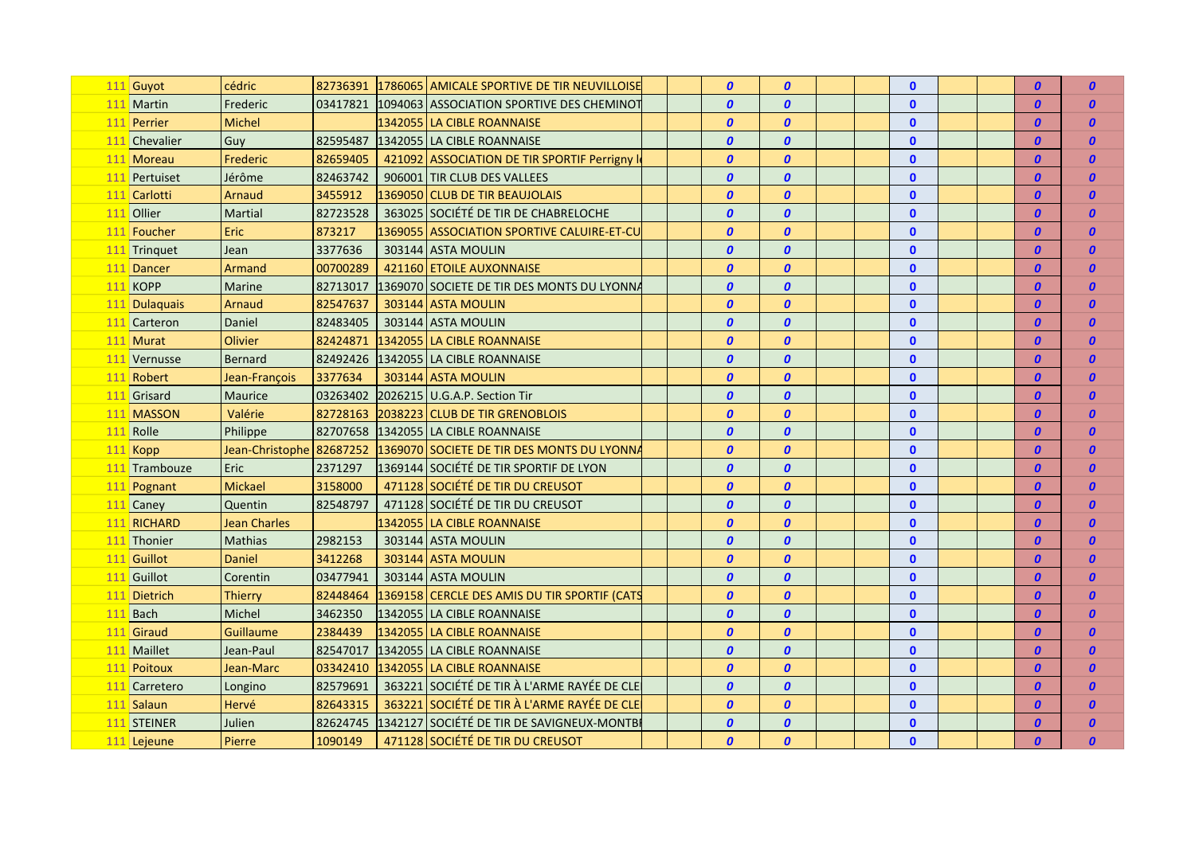| 111 Guyot       | cédric                   | 82736391 | 1786065 AMICALE SPORTIVE DE TIR NEUVILLOISE  |  | $\boldsymbol{0}$ | $\boldsymbol{0}$ |  | $\mathbf{0}$ |  | $\boldsymbol{0}$ | $\boldsymbol{0}$ |
|-----------------|--------------------------|----------|----------------------------------------------|--|------------------|------------------|--|--------------|--|------------------|------------------|
| 111 Martin      | Frederic                 | 03417821 | 1094063 ASSOCIATION SPORTIVE DES CHEMINOT    |  | $\boldsymbol{0}$ | $\boldsymbol{0}$ |  | $\mathbf 0$  |  | $\boldsymbol{0}$ | $\boldsymbol{0}$ |
| 111 Perrier     | <b>Michel</b>            |          | 1342055   LA CIBLE ROANNAISE                 |  | $\boldsymbol{0}$ | $\boldsymbol{0}$ |  | $\mathbf{0}$ |  | $\boldsymbol{0}$ | $\boldsymbol{0}$ |
| 111 Chevalier   | Guy                      | 82595487 | 1342055 LA CIBLE ROANNAISE                   |  | $\boldsymbol{0}$ | $\boldsymbol{0}$ |  | $\mathbf{0}$ |  | $\boldsymbol{0}$ | $\boldsymbol{0}$ |
| 111 Moreau      | Frederic                 | 82659405 | 421092 ASSOCIATION DE TIR SPORTIF Perrigny I |  | $\boldsymbol{0}$ | $\boldsymbol{0}$ |  | $\mathbf{0}$ |  | 0                | $\boldsymbol{0}$ |
| 111 Pertuiset   | Jérôme                   | 82463742 | 906001 TIR CLUB DES VALLEES                  |  | $\boldsymbol{0}$ | $\boldsymbol{0}$ |  | $\mathbf{0}$ |  | 0                | $\boldsymbol{0}$ |
| 111 Carlotti    | Arnaud                   | 3455912  | 1369050 CLUB DE TIR BEAUJOLAIS               |  | $\boldsymbol{0}$ | $\boldsymbol{0}$ |  | $\bf{0}$     |  | 0                | 0                |
| 111 Ollier      | Martial                  | 82723528 | 363025 SOCIÉTÉ DE TIR DE CHABRELOCHE         |  | $\boldsymbol{0}$ | $\boldsymbol{0}$ |  | $\bf{0}$     |  | 0                | 0                |
| 111 Foucher     | Eric                     | 873217   | 1369055 ASSOCIATION SPORTIVE CALUIRE-ET-CU   |  | $\boldsymbol{0}$ | $\boldsymbol{0}$ |  | $\bf{0}$     |  | 0                | $\boldsymbol{0}$ |
| 111 Tringuet    | Jean                     | 3377636  | 303144 ASTA MOULIN                           |  | $\boldsymbol{0}$ | $\boldsymbol{0}$ |  | $\bf{0}$     |  | 0                | O                |
| 111 Dancer      | Armand                   | 00700289 | 421160 ETOILE AUXONNAISE                     |  | $\boldsymbol{0}$ | $\boldsymbol{0}$ |  | $\mathbf{0}$ |  | $\boldsymbol{0}$ | $\boldsymbol{0}$ |
| <b>111 KOPP</b> | Marine                   | 82713017 | 1369070 SOCIETE DE TIR DES MONTS DU LYONNA   |  | $\boldsymbol{0}$ | $\boldsymbol{0}$ |  | $\bf{0}$     |  | $\boldsymbol{0}$ | $\boldsymbol{0}$ |
| 111 Dulaquais   | Arnaud                   | 82547637 | 303144 ASTA MOULIN                           |  | $\boldsymbol{0}$ | $\boldsymbol{0}$ |  | $\Omega$     |  | 0                | $\boldsymbol{0}$ |
| 111 Carteron    | Daniel                   | 82483405 | 303144 ASTA MOULIN                           |  | $\boldsymbol{0}$ | $\boldsymbol{0}$ |  | $\Omega$     |  | $\boldsymbol{0}$ | $\boldsymbol{0}$ |
| 111 Murat       | Olivier                  | 82424871 | 1342055 LA CIBLE ROANNAISE                   |  | $\boldsymbol{0}$ | $\boldsymbol{0}$ |  | $\Omega$     |  | $\boldsymbol{0}$ | $\boldsymbol{0}$ |
| 111 Vernusse    | <b>Bernard</b>           | 82492426 | 1342055 LA CIBLE ROANNAISE                   |  | $\boldsymbol{0}$ | $\boldsymbol{0}$ |  | $\mathbf{0}$ |  | $\boldsymbol{0}$ | $\boldsymbol{0}$ |
| 111 Robert      | Jean-François            | 3377634  | 303144 ASTA MOULIN                           |  | $\boldsymbol{0}$ | $\boldsymbol{0}$ |  | $\mathbf{0}$ |  | $\boldsymbol{0}$ | $\boldsymbol{0}$ |
| 111 Grisard     | Maurice                  | 03263402 | 2026215 U.G.A.P. Section Tir                 |  | $\boldsymbol{0}$ | $\boldsymbol{0}$ |  | $\mathbf{0}$ |  | $\boldsymbol{0}$ | $\boldsymbol{0}$ |
| 111 MASSON      | Valérie                  | 82728163 | 2038223 CLUB DE TIR GRENOBLOIS               |  | $\boldsymbol{0}$ | $\boldsymbol{0}$ |  | $\mathbf{0}$ |  | $\boldsymbol{0}$ | $\boldsymbol{0}$ |
| 111 Rolle       | Philippe                 | 82707658 | 1342055 LA CIBLE ROANNAISE                   |  | $\boldsymbol{0}$ | $\boldsymbol{0}$ |  | $\mathbf{0}$ |  | $\boldsymbol{0}$ | $\boldsymbol{0}$ |
| 111 Kopp        | Jean-Christophe 82687252 |          | 1369070 SOCIETE DE TIR DES MONTS DU LYONNA   |  | $\boldsymbol{0}$ | $\boldsymbol{0}$ |  | $\mathbf{0}$ |  | $\boldsymbol{0}$ | $\boldsymbol{0}$ |
| 111 Trambouze   | Eric                     | 2371297  | 1369144 SOCIÉTÉ DE TIR SPORTIF DE LYON       |  | $\boldsymbol{0}$ | $\boldsymbol{0}$ |  | $\mathbf{0}$ |  | $\boldsymbol{0}$ | $\boldsymbol{0}$ |
| 111 Pognant     | Mickael                  | 3158000  | 471128 SOCIÉTÉ DE TIR DU CREUSOT             |  | $\boldsymbol{0}$ | $\boldsymbol{0}$ |  | $\mathbf{0}$ |  | $\boldsymbol{0}$ | $\boldsymbol{0}$ |
| 111 Caney       | Quentin                  | 82548797 | 471128 SOCIÉTÉ DE TIR DU CREUSOT             |  | $\boldsymbol{0}$ | $\boldsymbol{0}$ |  | $\mathbf{0}$ |  | $\boldsymbol{0}$ | $\boldsymbol{0}$ |
| 111 RICHARD     | <b>Jean Charles</b>      |          | 1342055   LA CIBLE ROANNAISE                 |  | $\boldsymbol{0}$ | $\boldsymbol{0}$ |  | $\mathbf{0}$ |  | $\boldsymbol{0}$ | $\boldsymbol{0}$ |
| 111 Thonier     | Mathias                  | 2982153  | 303144 ASTA MOULIN                           |  | $\boldsymbol{0}$ | $\boldsymbol{0}$ |  | $\mathbf{0}$ |  | $\boldsymbol{0}$ | $\boldsymbol{0}$ |
| 111 Guillot     | Daniel                   | 3412268  | 303144 ASTA MOULIN                           |  | $\boldsymbol{0}$ | $\boldsymbol{0}$ |  | $\mathbf{0}$ |  | $\boldsymbol{0}$ | $\boldsymbol{0}$ |
| 111 Guillot     | Corentin                 | 03477941 | 303144 ASTA MOULIN                           |  | $\boldsymbol{0}$ | $\boldsymbol{0}$ |  | $\mathbf{0}$ |  | $\boldsymbol{0}$ | $\boldsymbol{0}$ |
| 111 Dietrich    | Thierry                  | 82448464 | 1369158 CERCLE DES AMIS DU TIR SPORTIF (CATS |  | $\boldsymbol{0}$ | $\boldsymbol{0}$ |  | $\Omega$     |  | $\boldsymbol{0}$ | $\boldsymbol{0}$ |
| 111 Bach        | Michel                   | 3462350  | 1342055 LA CIBLE ROANNAISE                   |  | $\boldsymbol{o}$ | $\boldsymbol{0}$ |  | $\Omega$     |  | $\boldsymbol{0}$ | $\boldsymbol{0}$ |
| 111 Giraud      | Guillaume                | 2384439  | 1342055 LA CIBLE ROANNAISE                   |  | $\boldsymbol{0}$ | $\boldsymbol{0}$ |  | $\mathbf{0}$ |  | $\boldsymbol{0}$ | $\boldsymbol{0}$ |
| 111 Maillet     | Jean-Paul                | 82547017 | 1342055 LA CIBLE ROANNAISE                   |  | $\boldsymbol{0}$ | $\boldsymbol{0}$ |  | $\mathbf{0}$ |  | $\boldsymbol{0}$ | $\boldsymbol{0}$ |
| 111 Poitoux     | Jean-Marc                | 03342410 | 1342055 LA CIBLE ROANNAISE                   |  | $\boldsymbol{0}$ | $\boldsymbol{0}$ |  | $\mathbf{0}$ |  | $\boldsymbol{0}$ | $\boldsymbol{0}$ |
| 111 Carretero   | Longino                  | 82579691 | 363221 SOCIÉTÉ DE TIR À L'ARME RAYÉE DE CLE  |  | $\boldsymbol{0}$ | $\boldsymbol{0}$ |  | $\mathbf{0}$ |  | $\boldsymbol{0}$ | $\boldsymbol{0}$ |
| 111 Salaun      | Hervé                    | 82643315 | 363221 SOCIÉTÉ DE TIR À L'ARME RAYÉE DE CLE  |  | $\boldsymbol{0}$ | $\boldsymbol{0}$ |  | $\mathbf{0}$ |  | $\boldsymbol{0}$ | $\boldsymbol{0}$ |
| 111 STEINER     | Julien                   | 82624745 | 1342127 SOCIÉTÉ DE TIR DE SAVIGNEUX-MONTBE   |  | $\boldsymbol{0}$ | $\boldsymbol{0}$ |  | $\mathbf{0}$ |  | $\boldsymbol{0}$ | 0                |
| 111 Lejeune     | Pierre                   | 1090149  | 471128 SOCIÉTÉ DE TIR DU CREUSOT             |  | $\boldsymbol{0}$ | $\boldsymbol{0}$ |  | $\mathbf{0}$ |  | $\boldsymbol{0}$ | $\boldsymbol{0}$ |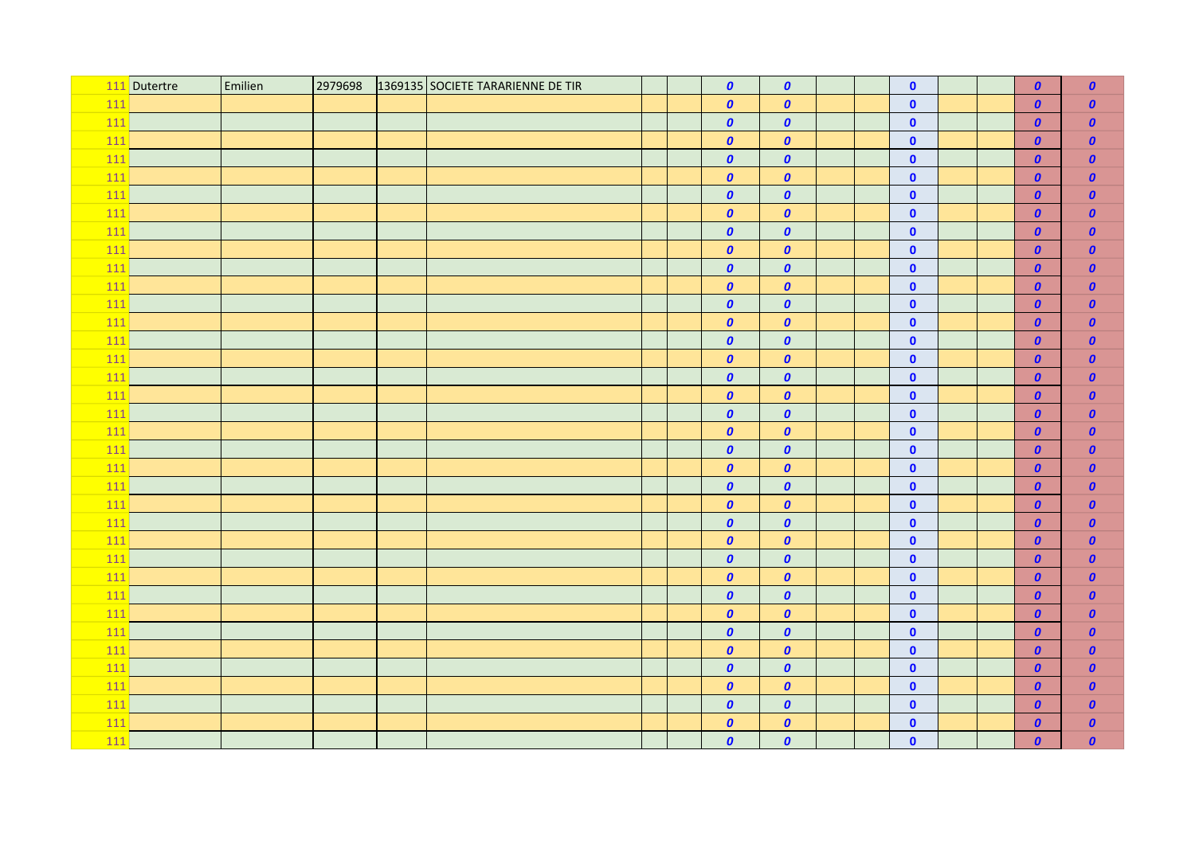|       | 111 Dutertre | Emilien | 2979698 | 1369135 SOCIETE TARARIENNE DE TIR |  | $\boldsymbol{0}$ | $\boldsymbol{0}$ |  | $\bullet$    |  | $\boldsymbol{0}$ | $\boldsymbol{0}$ |
|-------|--------------|---------|---------|-----------------------------------|--|------------------|------------------|--|--------------|--|------------------|------------------|
| 111   |              |         |         |                                   |  | $\boldsymbol{o}$ | $\boldsymbol{0}$ |  | $\bullet$    |  | $\boldsymbol{0}$ | $\boldsymbol{0}$ |
| $111$ |              |         |         |                                   |  | $\boldsymbol{0}$ | $\boldsymbol{0}$ |  | $\bullet$    |  | $\boldsymbol{0}$ | $\boldsymbol{0}$ |
| 111   |              |         |         |                                   |  | $\boldsymbol{o}$ | $\boldsymbol{0}$ |  | $\mathbf 0$  |  | $\boldsymbol{0}$ | $\boldsymbol{0}$ |
| $111$ |              |         |         |                                   |  | $\boldsymbol{0}$ | $\boldsymbol{0}$ |  | $\mathbf 0$  |  | $\boldsymbol{0}$ | $\boldsymbol{0}$ |
| 111   |              |         |         |                                   |  | $\boldsymbol{0}$ | $\boldsymbol{0}$ |  | $\mathbf 0$  |  | $\boldsymbol{0}$ | $\boldsymbol{0}$ |
| $111$ |              |         |         |                                   |  | $\boldsymbol{0}$ | $\boldsymbol{0}$ |  | $\mathbf 0$  |  | $\boldsymbol{0}$ | $\boldsymbol{0}$ |
| $111$ |              |         |         |                                   |  | $\boldsymbol{o}$ | $\boldsymbol{o}$ |  | $\mathbf 0$  |  | $\boldsymbol{0}$ | $\boldsymbol{0}$ |
| $111$ |              |         |         |                                   |  | $\boldsymbol{0}$ | $\boldsymbol{0}$ |  | $\bullet$    |  | $\boldsymbol{0}$ | $\boldsymbol{0}$ |
| 111   |              |         |         |                                   |  | $\boldsymbol{0}$ | $\boldsymbol{0}$ |  | $\bullet$    |  | $\boldsymbol{0}$ | $\boldsymbol{0}$ |
| $111$ |              |         |         |                                   |  | $\boldsymbol{0}$ | $\boldsymbol{0}$ |  | $\bullet$    |  | $\boldsymbol{0}$ | $\boldsymbol{0}$ |
| 111   |              |         |         |                                   |  | $\boldsymbol{0}$ | $\boldsymbol{0}$ |  | $\bullet$    |  | $\boldsymbol{0}$ | $\boldsymbol{0}$ |
| 111   |              |         |         |                                   |  | $\boldsymbol{0}$ | $\boldsymbol{o}$ |  | $\mathbf 0$  |  | $\boldsymbol{0}$ | $\boldsymbol{0}$ |
| 111   |              |         |         |                                   |  | $\boldsymbol{o}$ | $\boldsymbol{0}$ |  | $\mathbf 0$  |  | $\boldsymbol{0}$ | $\boldsymbol{0}$ |
| 111   |              |         |         |                                   |  | $\boldsymbol{0}$ | $\boldsymbol{0}$ |  | $\mathbf 0$  |  | $\boldsymbol{0}$ | $\boldsymbol{0}$ |
| 111   |              |         |         |                                   |  | $\boldsymbol{0}$ | $\boldsymbol{0}$ |  | $\mathbf 0$  |  | $\boldsymbol{0}$ | $\boldsymbol{0}$ |
| 111   |              |         |         |                                   |  | $\boldsymbol{o}$ | $\boldsymbol{0}$ |  | $\mathbf 0$  |  | $\boldsymbol{o}$ | $\pmb{o}$        |
| 111   |              |         |         |                                   |  | $\boldsymbol{0}$ | $\boldsymbol{0}$ |  | $\bullet$    |  | $\boldsymbol{0}$ | $\boldsymbol{0}$ |
| 111   |              |         |         |                                   |  | $\boldsymbol{0}$ | $\boldsymbol{0}$ |  | $\bullet$    |  | $\boldsymbol{o}$ | $\boldsymbol{0}$ |
| 111   |              |         |         |                                   |  | $\boldsymbol{o}$ | $\boldsymbol{0}$ |  | $\mathbf 0$  |  | $\boldsymbol{o}$ | $\pmb{o}$        |
| 111   |              |         |         |                                   |  | $\boldsymbol{0}$ | $\boldsymbol{0}$ |  | $\bullet$    |  | $\boldsymbol{o}$ | $\pmb{o}$        |
| 111   |              |         |         |                                   |  | $\boldsymbol{0}$ | $\boldsymbol{0}$ |  | $\mathbf 0$  |  | $\boldsymbol{0}$ | $\boldsymbol{o}$ |
| 111   |              |         |         |                                   |  | $\boldsymbol{0}$ | $\boldsymbol{0}$ |  | $\mathbf 0$  |  | $\boldsymbol{o}$ | $\pmb{o}$        |
| 111   |              |         |         |                                   |  | $\boldsymbol{0}$ | $\boldsymbol{o}$ |  | $\mathbf 0$  |  | $\boldsymbol{o}$ | $\boldsymbol{0}$ |
| $111$ |              |         |         |                                   |  | $\boldsymbol{0}$ | $\boldsymbol{0}$ |  | $\mathbf{0}$ |  | $\boldsymbol{0}$ | $\boldsymbol{0}$ |
| 111   |              |         |         |                                   |  | $\boldsymbol{0}$ | $\boldsymbol{o}$ |  | $\mathbf 0$  |  | $\boldsymbol{o}$ | $\pmb{o}$        |
| $111$ |              |         |         |                                   |  | $\boldsymbol{0}$ | $\boldsymbol{0}$ |  | $\bullet$    |  | $\boldsymbol{o}$ | $\boldsymbol{0}$ |
| 111   |              |         |         |                                   |  | $\boldsymbol{0}$ | $\boldsymbol{o}$ |  | $\bullet$    |  | $\boldsymbol{0}$ | $\boldsymbol{0}$ |
| $111$ |              |         |         |                                   |  | $\boldsymbol{0}$ | $\boldsymbol{0}$ |  | $\bullet$    |  | $\boldsymbol{o}$ | $\boldsymbol{0}$ |
| 111   |              |         |         |                                   |  | $\boldsymbol{0}$ | $\boldsymbol{o}$ |  | $\mathbf 0$  |  | $\boldsymbol{o}$ | $\pmb{o}$        |
| $111$ |              |         |         |                                   |  | $\boldsymbol{0}$ | $\boldsymbol{o}$ |  | $\bullet$    |  | $\boldsymbol{o}$ | $\boldsymbol{0}$ |
| 111   |              |         |         |                                   |  | $\boldsymbol{0}$ | $\boldsymbol{o}$ |  | $\mathbf 0$  |  | $\boldsymbol{o}$ | $\boldsymbol{0}$ |
| $111$ |              |         |         |                                   |  | $\boldsymbol{0}$ | $\boldsymbol{0}$ |  | $\mathbf 0$  |  | $\boldsymbol{0}$ | $\boldsymbol{0}$ |
| 111   |              |         |         |                                   |  | $\boldsymbol{o}$ | $\boldsymbol{o}$ |  | $\pmb{0}$    |  | $\boldsymbol{0}$ | $\boldsymbol{0}$ |
| $111$ |              |         |         |                                   |  | $\boldsymbol{0}$ | $\boldsymbol{0}$ |  | $\bullet$    |  | $\boldsymbol{0}$ | $\boldsymbol{0}$ |
| 111   |              |         |         |                                   |  | $\boldsymbol{o}$ | $\boldsymbol{o}$ |  | $\mathbf 0$  |  | $\boldsymbol{0}$ | $\boldsymbol{0}$ |
| 111   |              |         |         |                                   |  | $\boldsymbol{0}$ | $\boldsymbol{0}$ |  | $\bullet$    |  | $\boldsymbol{0}$ | $\boldsymbol{0}$ |